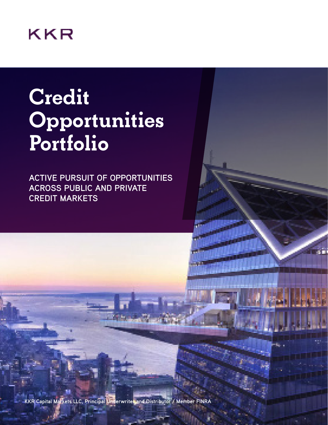# KKR

# **Credit Opportunities Portfolio**

**ACTIVE PURSUIT OF OPPORTUNITIES ACROSS PUBLIC AND PRIVATE CREDIT MARKETS**

ŦΠ

**KKR Capital Markets LLC, Principal Underwriter and Distributor / Member FINRA**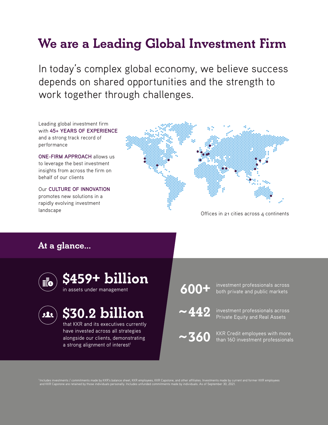## **We are a Leading Global Investment Firm**

In today's complex global economy, we believe success depends on shared opportunities and the strength to work together through challenges.

Leading global investment firm with **45+ YEARS OF EXPERIENCE** and a strong track record of performance

**ONE-FIRM APPROACH** allows us to leverage the best investment insights from across the firm on behalf of our clients

Our **CULTURE OF INNOVATION** promotes new solutions in a rapidly evolving investment



### **At a glance...**





## **\$30.2 billion**

that KKR and its executives currently have invested across all strategies alongside our clients, demonstrating a strong alignment of interest<sup>1</sup>



**600** + investment professionals across<br>**600** + both private and public markets

investment professionals across **~442** Private Equity and Real Assets

KKR Credit employees with more than 160 investment professionals **~360**

nt and former KKR employees and KKR Capstone are retained by those individuals personally. Includes unfunded commitments made by individuals. As of September 30, 2021.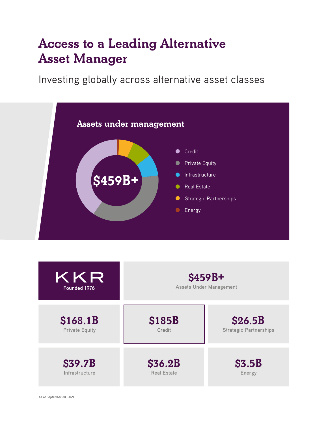## **Access to a Leading Alternative Asset Manager**

Investing globally across alternative asset classes



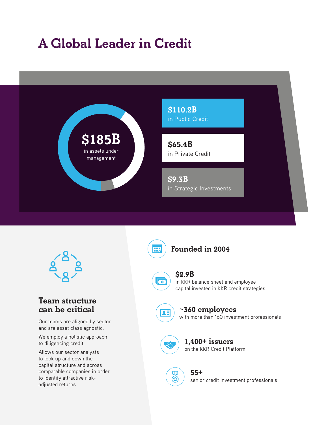## **A Global Leader in Credit**





### **Team structure can be critical**

Our teams are aligned by sector and are asset class agnostic.

We employ a holistic approach to diligencing credit.

Allows our sector analysts to look up and down the capital structure and across comparable companies in order to identify attractive riskadjusted returns

**Founded in 2004**



田

### **\$2.9B**

in KKR balance sheet and employee capital invested in KKR credit strategies



### ~**360 employees**

with more than 160 investment professionals



 $\mathbf{D}$ ®

### on the KKR Credit Platform **1,400+ issuers**

senior credit investment professionals **55+**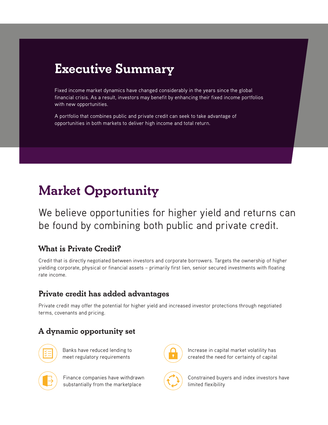## **Executive Summary**

Fixed income market dynamics have changed considerably in the years since the global financial crisis. As a result, investors may benefit by enhancing their fixed income portfolios with new opportunities.

A portfolio that combines public and private credit can seek to take advantage of opportunities in both markets to deliver high income and total return.

## **Market Opportunity**

We believe opportunities for higher yield and returns can be found by combining both public and private credit.

### **What is Private Credit?**

Credit that is directly negotiated between investors and corporate borrowers. Targets the ownership of higher yielding corporate, physical or financial assets – primarily first lien, senior secured investments with floating rate income.

### **Private credit has added advantages**

Private credit may offer the potential for higher yield and increased investor protections through negotiated terms, covenants and pricing.

### **A dynamic opportunity set**



Banks have reduced lending to meet regulatory requirements



Finance companies have withdrawn substantially from the marketplace



Increase in capital market volatility has created the need for certainty of capital

Constrained buyers and index investors have limited flexibility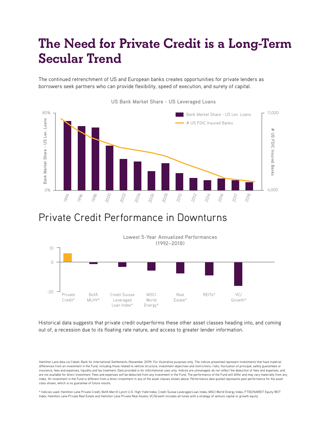## **The Need for Private Credit is a Long-Term Secular Trend**

The continued retrenchment of US and European banks creates opportunities for private lenders as borrowers seek partners who can provide flexibility, speed of execution, and surety of capital.



**US Bank Market Share - US Leveraged Loans**

### Private Credit Performance in Downturns



Historical data suggests that private credit outperforms these other asset classes heading into, and coming out of, a recession due to its floating rate nature, and access to greater lender information.

Hamilton Lane data via Cobalt; Bank for International Settlements (November 2019). For illustrative purposes only. The indices presented represent investments that have material differences from an investment in the Fund, including those related to vehicle structure, investment objectives and restrictions, risks, fluctuation of principal, safety guarantees or insurance, fees and expenses, liquidity and tax treatment. Data provided is for informational uses only. Indices are unmanaged, do not reflect the deduction of fees and expenses, and are not available for direct investment. Fees and expenses will be deducted from any investment in the Fund. The performance of the Fund will differ and may vary materially from any index. An investment in the Fund is different from a direct investment in any of the asset classes shown above. Performance data quoted represents past performance for the asset class shown, which is no guarantee of future results.

\* Indicies used: Hamilton Lane Private Credit; BofA Merrill Lynch U.S. High Yield Index; Credit Suisse Leveraged Loan Index; MSCI World Energy Index; FTSE/NAREIT Equity REIT Index; Hamilton Lane Private Real Estate and Hamilton Lane Private Real Assets; VC/Growth includes all funds with a strategy of venture capital or growth equity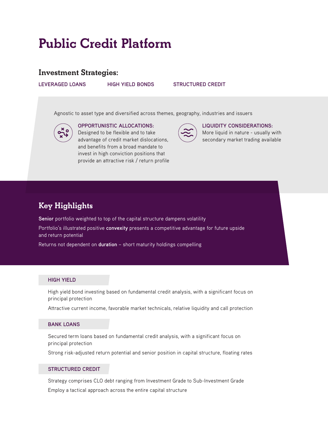## **Public Credit Platform**

### **Investment Strategies:**

**LEVERAGED LOANS**

#### **HIGH YIELD BONDS STRUCTURED CREDIT**

Agnostic to asset type and diversified across themes, geography, industries and issuers



**OPPORTUNISTIC ALLOCATIONS:** Designed to be flexible and to take advantage of credit market dislocations, and benefits from a broad mandate to invest in high conviction positions that provide an attractive risk / return profile



#### **LIQUIDITY CONSIDERATIONS:**

More liquid in nature - usually with secondary market trading available

### **Key Highlights**

**Senior** portfolio weighted to top of the capital structure dampens volatility

Portfolio's illustrated positive **convexity** presents a competitive advantage for future upside and return potential

Returns not dependent on **duration** – short maturity holdings compelling

#### **HIGH YIELD**

High yield bond investing based on fundamental credit analysis, with a significant focus on principal protection

Attractive current income, favorable market technicals, relative liquidity and call protection

#### **BANK LOANS**

Secured term loans based on fundamental credit analysis, with a significant focus on principal protection

Strong risk-adjusted return potential and senior position in capital structure, floating rates

#### **STRUCTURED CREDIT**

Strategy comprises CLO debt ranging from Investment Grade to Sub-Investment Grade Employ a tactical approach across the entire capital structure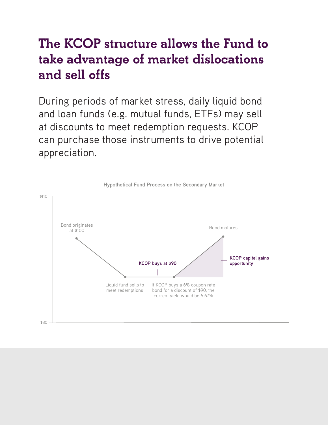## **The KCOP structure allows the Fund to take advantage of market dislocations and sell offs**

During periods of market stress, daily liquid bond and loan funds (e.g. mutual funds, ETFs) may sell at discounts to meet redemption requests. KCOP can purchase those instruments to drive potential appreciation.

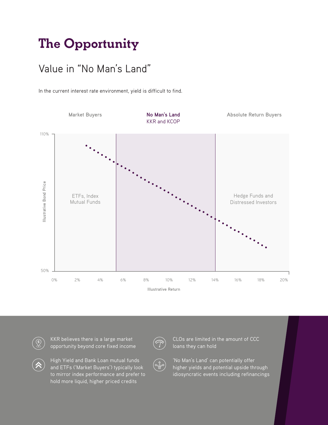## **The Opportunity**

### Value in "No Man's Land"

In the current interest rate environment, yield is difficult to find.





KKR believes there is a large market opportunity beyond core fixed income



CLOs are limited in the amount of CCC loans they can hold

High Yield and Bank Loan mutual funds and ETFs ('Market Buyers') typically look to mirror index performance and prefer to hold more liquid, higher priced credits

'No Man's Land' can potentially offer higher yields and potential upside through idiosyncratic events including refinancings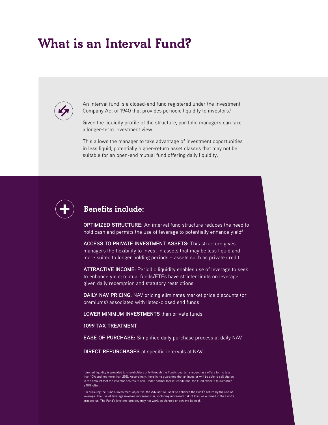### **What is an Interval Fund?**



An interval fund is a closed-end fund registered under the Investment Company Act of 1940 that provides periodic liquidity to investors.<sup>1</sup>

Given the liquidity profile of the structure, portfolio managers can take a longer-term investment view.

This allows the manager to take advantage of investment opportunities in less liquid, potentially higher-return asset classes that may not be suitable for an open-end mutual fund offering daily liquidity.



### **Benefits include:**

**OPTIMIZED STRUCTURE:** An interval fund structure reduces the need to hold cash and permits the use of leverage to potentially enhance yield<sup>2</sup>

**ACCESS TO PRIVATE INVESTMENT ASSETS:** This structure gives managers the flexibility to invest in assets that may be less liquid and more suited to longer holding periods – assets such as private credit

**ATTRACTIVE INCOME:** Periodic liquidity enables use of leverage to seek to enhance yield; mutual funds/ETFs have stricter limits on leverage given daily redemption and statutory restrictions

**DAILY NAV PRICING:** NAV pricing eliminates market price discounts (or premiums) associated with listed-closed end funds

**LOWER MINIMUM INVESTMENTS** than private funds

#### **1099 TAX TREATMENT**

**EASE OF PURCHASE:** Simplified daily purchase process at daily NAV

**DIRECT REPURCHASES** at specific intervals at NAV

<sup>1</sup> Limited liquidity is provided to shareholders only through the Fund's quarterly repurchase offers for no less than 10% and not more than 25%. Accordingly, there is no guarantee that an investor will be able to sell shares in the amount that the investor desires to sell. Under normal market conditions, the Fund expects to authorize a 10% offer.

2 In pursuing the Fund's investment objective, the Adviser will seek to enhance the Fund's return by the use of leverage. The use of leverage involves increased risk, including increased risk of loss, as outlined in the Fund's prospectus. The Fund's leverage strategy may not work as planned or achieve its goal.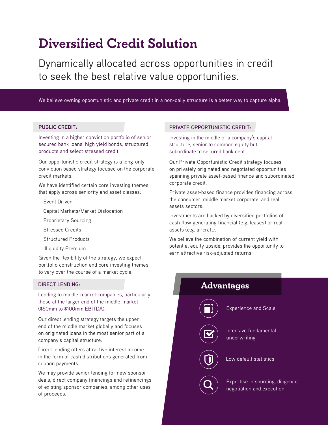## **Diversified Credit Solution**

Dynamically allocated across opportunities in credit to seek the best relative value opportunities.

We believe owning opportunistic and private credit in a non-daily structure is a better way to capture alpha.

#### **PUBLIC CREDIT:**

Investing in a higher conviction portfolio of senior secured bank loans, high yield bonds, structured products and select stressed credit

Our opportunistic credit strategy is a long-only, conviction based strategy focused on the corporate credit markets.

We have identified certain core investing themes that apply across seniority and asset classes:

- Event Driven
- Capital Markets/Market Dislocation
- Proprietary Sourcing
- Stressed Credits
- Structured Products
- Illiquidity Premium

Given the flexibility of the strategy, we expect portfolio construction and core investing themes to vary over the course of a market cycle.

#### **DIRECT LENDING:**

Lending to middle-market companies, particularly those at the larger end of the middle-market (\$50mm to \$100mm EBITDA).

Our direct lending strategy targets the upper end of the middle market globally and focuses on originated loans in the most senior part of a company's capital structure.

Direct lending offers attractive interest income in the form of cash distributions generated from coupon payments.

We may provide senior lending for new sponsor deals, direct company financings and refinancings of existing sponsor companies, among other uses of proceeds.

#### **PRIVATE OPPORTUNISTIC CREDIT:**

Investing in the middle of a company's capital structure, senior to common equity but subordinate to secured bank debt

Our Private Opportunistic Credit strategy focuses on privately originated and negotiated opportunities spanning private asset-based finance and subordinated corporate credit.

Private asset-based finance provides financing across the consumer, middle market corporate, and real assets sectors.

Investments are backed by diversified portfolios of cash flow generating financial (e.g. leases) or real assets (e.g. aircraft).

We believe the combination of current yield with potential equity upside, provides the opportunity to earn attractive risk-adjusted returns.

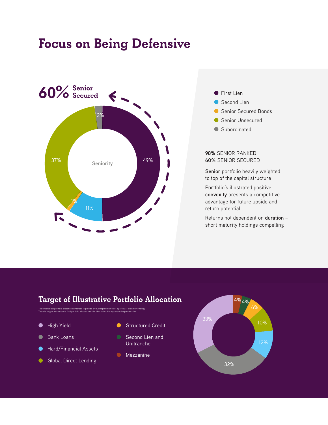### **Focus on Being Defensive**





- Second Lien
- Senior Secured Bonds
- Senior Unsecured
- Subordinated

#### **98%** SENIOR RANKED **60%** SENIOR SECURED

**Senior** portfolio heavily weighted to top of the capital structure

Portfolio's illustrated positive **convexity** presents a competitive advantage for future upside and return potential

Returns not dependent on **duration** – short maturity holdings compelling

### **Target of Illustrative Portfolio Allocation**

The hypothetical portfolio allocation is intended to provide a visual representation of a particular allocation strategy.<br>There is no guarantee that the final portfolio allocation will be identical to this hypothetical rep

- $\bullet$
- Bank Loans
- Hard/Financial Assets
- Global Direct Lending  $\bullet$
- High Yield **Calculation Contracts** Structured Credit
	- Second Lien and Unitranche
	- **Mezzanine**

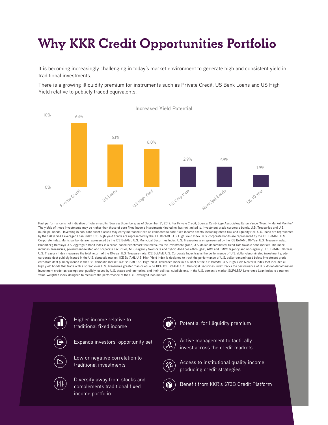# **Why KKR Credit Opportunities Portfolio**

It is becoming increasingly challenging in today's market environment to generate high and consistent yield in traditional investments.

There is a growing illiquidity premium for instruments such as Private Credit, US Bank Loans and US High Yield relative to publicly traded equivalents.



Past performance is not indicative of future results. Source: Bloomberg, as of December 31, 2019. For Private Credit, Source: Cambridge Associates; Eaton Vance "Monthly Market Monitor" The yields of these investments may be higher than those of core fixed income investments (including, but not limited to, investment grade corporate bonds, U.S. Treasuries and U.S. municipal bonds). Investing in non-core asset classes may carry increased risks as compared to core fixed income assets, including credit risk and liquidity risk. U.S. loans are represented by the S&P/LSTA Leveraged Loan Index. U.S. high yield bonds are represented by the ICE BofAML U.S. High Yield Index. U.S. corporate bonds are represented by the ICE BofAML U.S. Corporate Index. Municipal bonds are represented by the ICE BofAML U.S. Municipal Securities Index. U.S. Treasuries are represented by the ICE BofAML 10-Year U.S. Treasury Index. Bloomberg Barclays U.S. Aggregate Bond Index is a broad-based benchmark that measures the investment grade, U.S. dollar-denominated, fixed-rate taxable bond market. The index includes Treasuries, government-related and corporate securities, MBS (agency fixed-rate and hybrid ARM pass-throughs), ABS and CMBS (agency and non-agency). ICE BofAML 10-Year U.S. Treasury Index measures the total return of the 10-year U.S. Treasury note. ICE BofAML U.S. Corporate Index tracks the performance of U.S. dollar-denominated investment grade corporate debt publicly issued in the U.S. domestic market. ICE BofAML U.S. High Yield Index is designed to track the performance of U.S. dollar-denominated below investment grade corporate debt publicly issued in the U.S. domestic market. ICE BofAML U.S. High Yield Distressed Index is a subset of the ICE BofAML U.S. High Yield Master II Index that includes all high yield bonds that trade with a spread over U.S. Treasuries greater than or equal to 10%. ICE BofAML U.S. Municipal Securities Index tracks the performance of U.S. dollar-denominated investment grade tax-exempt debt publicly issued by U.S. states and territories, and their political subdivisions, in the U.S. domestic market.S&P/LSTA Leveraged Loan Index is a market value-weighted index designed to measure the performance of the U.S. leveraged loan market.

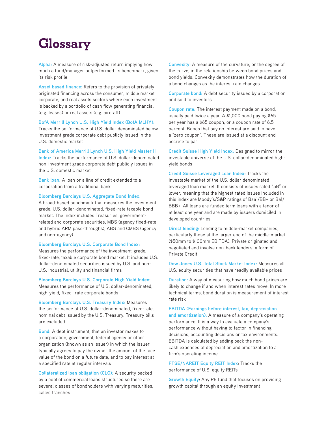## **Glossary**

**Alpha:** A measure of risk-adjusted return implying how much a fund/manager outperformed its benchmark, given its risk profile

**Asset based finance:** Refers to the provision of privately originated financing across the consumer, middle market corporate, and real assets sectors where each investment is backed by a portfolio of cash flow generating financial (e.g. leases) or real assets (e.g. aircraft)

**BofA Merrill Lynch U.S. High Yield Index (BofA MLHY):**

Tracks the performance of U.S. dollar denominated below investment grade corporate debt publicly issued in the U.S. domestic market

**Bank of America Merrill Lynch U.S. High Yield Master II** 

**Index:** Tracks the performance of U.S. dollar-denominated non-investment grade corporate debt publicly issues in the U.S. domestic market

**Bank loan:** A loan or a line of credit extended to a corporation from a traditional bank

**Bloomberg Barclays U.S. Aggregate Bond Index:** 

A broad-based benchmark that measures the investment grade, U.S. dollar-denominated, fixed-rate taxable bond market. The index includes Treasuries, governmentrelated and corporate securities, MBS (agency fixed-rate and hybrid ARM pass-throughs), ABS and CMBS (agency and non-agency)

**Bloomberg Barclays U.S. Corporate Bond Index:** 

Measures the performance of the investment-grade, fixed-rate, taxable corporate bond market. It includes U.S. dollar-denominated securities issued by U.S. and non-U.S. industrial, utility and financial firms

**Bloomberg Barclays U.S. Corporate High Yield Index:**  Measures the performance of U.S. dollar-denominated, high-yield, fixed- rate corporate bonds

**Bloomberg Barclays U.S. Treasury Index:** Measures the performance of U.S. dollar-denominated, fixed-rate, nominal debt issued by the U.S. Treasury. Treasury bills are excluded

**Bond:** A debt instrument, that an investor makes to a corporation, government, federal agency or other organization (known as an issuer) in which the issuer typically agrees to pay the owner the amount of the face value of the bond on a future date, and to pay interest at a specified rate at regular intervals

**Collateralized loan obligation (CLO):** A security backed by a pool of commercial loans structured so there are several classes of bondholders with varying maturities, called tranches

**Convexity:** A measure of the curvature, or the degree of the curve, in the relationship between bond prices and bond yields. Convexity demonstrates how the duration of a bond changes as the interest rate changes

**Corporate bond:** A debt security issued by a corporation and sold to investors

**Coupon rate:** The interest payment made on a bond, usually paid twice a year. A \$1,000 bond paying \$65 per year has a \$65 coupon, or a coupon rate of 6.5 percent. Bonds that pay no interest are said to have a "zero coupon". These are issued at a discount and accrete to par

**Credit Suisse High Yield Index:** Designed to mirror the investable universe of the U.S. dollar-denominated highyield bonds

**Credit Suisse Leveraged Loan Index:** Tracks the investable market of the U.S. dollar denominated leveraged loan market. It consists of issues rated "5B" or lower, meaning that the highest rated issues included in this index are Moody's/S&P ratings of Baa1/BB+ or Ba1/ BBB+. All loans are funded term loans with a tenor of at least one year and are made by issuers domiciled in developed countries

**Direct lending:** Lending to middle-market companies, particularly those at the larger end of the middle-market (\$50mm to \$100mm EBITDA). Private originated and negotiated and involve non-bank lenders; a form of Private Credit

**Dow Jones U.S. Total Stock Market Index:** Measures all U.S. equity securities that have readily available prices

**Duration:** A way of measuring how much bond prices are likely to change if and when interest rates move. In more technical terms, bond duration is measurement of interest rate risk

**EBITDA (Earnings before interest, tax, depreciation and amortization):** A measure of a company's operating performance. It is a way to evaluate a company's performance without having to factor in financing decisions, accounting decisions or tax environments. EBITDA is calculated by adding back the noncash expenses of depreciation and amortization to a firm's operating income

**FTSE/NAREIT Equity REIT Index**: Tracks the performance of U.S. equity REITs

**Growth Equity**: Any PE fund that focuses on providing growth capital through an equity investment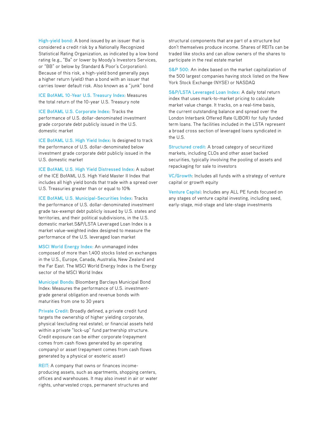**High-yield bond:** A bond issued by an issuer that is considered a credit risk by a Nationally Recognized Statistical Rating Organization, as indicated by a low bond rating (e.g., "Ba" or lower by Moody's Investors Services, or "BB" or below by Standard & Poor's Corporation). Because of this risk, a high-yield bond generally pays a higher return (yield) than a bond with an issuer that carries lower default risk. Also known as a "junk" bond

**ICE BofAML 10-Year U.S. Treasury Index**: Measures the total return of the 10-year U.S. Treasury note

**ICE BofAML U.S. Corporate Index**: Tracks the performance of U.S. dollar-denominated investment grade corporate debt publicly issued in the U.S. domestic market

**ICE BofAML U.S. High Yield Index**: Is designed to track the performance of U.S. dollar-denominated below investment grade corporate debt publicly issued in the U.S. domestic market

**ICE BofAML U.S. High Yield Distressed Index**: A subset of the ICE BofAML U.S. High Yield Master II Index that includes all high yield bonds that trade with a spread over U.S. Treasuries greater than or equal to 10%

**ICE BofAML U.S. Municipal-Securities Index**: Tracks the performance of U.S. dollar-denominated investment grade tax-exempt debt publicly issued by U.S. states and territories, and their political subdivisions, in the U.S. domestic market.S&P/LSTA Leveraged Loan Index is a market value-weighted index designed to measure the performance of the U.S. leveraged loan market

**MSCI World Energy Index:** An unmanaged index composed of more than 1,400 stocks listed on exchanges in the U.S., Europe, Canada, Australia, New Zealand and the Far East. The MSCI World Energy Index is the Energy sector of the MSCI World Index

**Municipal Bonds**: Bloomberg Barclays Municipal Bond Index: Measures the performance of U.S. investmentgrade general obligation and revenue bonds with maturities from one to 30 years

**Private Credit**: Broadly defined, a private credit fund targets the ownership of higher yielding corporate, physical (excluding real estate), or financial assets held within a private "lock-up" fund partnership structure. Credit exposure can be either corporate (repayment comes from cash flows generated by an operating company) or asset (repayment comes from cash flows generated by a physical or esoteric asset)

**REIT**: A company that owns or finances incomeproducing assets, such as apartments, shopping centers, offices and warehouses. It may also invest in air or water rights, unharvested crops, permanent structures and

structural components that are part of a structure but don't themselves produce income. Shares of REITs can be traded like stocks and can allow owners of the shares to participate in the real estate market

**S&P 500:** An index based on the market capitalization of the 500 largest companies having stock listed on the New York Stock Exchange (NYSE) or NASDAQ

**S&P/LSTA Leveraged Loan Index:** A daily total return index that uses mark-to-market pricing to calculate market value change. It tracks, on a real-time basis, the current outstanding balance and spread over the London Interbank Offered Rate (LIBOR) for fully funded term loans. The facilities included in the LSTA represent a broad cross section of leveraged loans syndicated in the U.S.

**Structured credit:** A broad category of securitized markets, including CLOs and other asset backed securities, typically involving the pooling of assets and repackaging for sale to investors

**VC/Growth**: Includes all funds with a strategy of venture capital or growth equity

**Venture Capital**: Includes any ALL PE funds focused on any stages of venture capital investing, including seed, early-stage, mid-stage and late-stage investments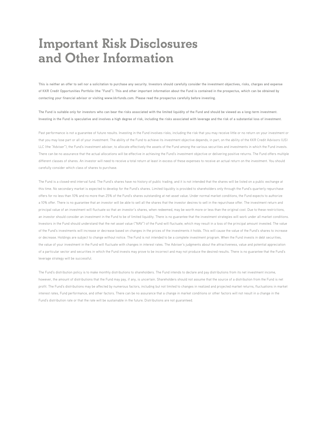### **Important Risk Disclosures and Other Information**

**This is neither an offer to sell nor a solicitation to purchase any security. Investors should carefully consider the investment objectives, risks, charges and expense of KKR Credit Opportunities Portfolio (the "Fund"). This and other important information about the Fund is contained in the prospectus, which can be obtained by contacting your financial advisor or visiting www.kkrfunds.com. Please read the prospectus carefully before investing.** 

The Fund is suitable only for investors who can bear the risks associated with the limited liquidity of the Fund and should be viewed as a long-term investment. **Investing in the Fund is speculative and involves a high degree of risk, including the risks associated with leverage and the risk of a substantial loss of investment.**

Past performance is not a guarantee of future results. Investing in the Fund involves risks, including the risk that you may receive little or no return on your investment or that you may lose part or all of your investment. The ability of the Fund to achieve its investment objective depends, in part, on the ability of the KKR Credit Advisors (US) LLC (the "Adviser"), the Fund's investment adviser, to allocate effectively the assets of the Fund among the various securities and investments in which the Fund invests. There can be no assurance that the actual allocations will be effective in achieving the Fund's investment objective or delivering positive returns. The Fund offers multiple different classes of shares. An investor will need to receive a total return at least in excess of these expenses to receive an actual return on the investment. You should carefully consider which class of shares to purchase.

The Fund is a closed-end interval fund. The Fund's shares have no history of public trading, and it is not intended that the shares will be listed on a public exchange at this time. No secondary market is expected to develop for the Fund's shares. Limited liquidity is provided to shareholders only through the Fund's quarterly repurchase offers for no less than 10% and no more than 25% of the Fund's shares outstanding at net asset value. Under normal market conditions, the Fund expects to authorize a 10% offer. There is no guarantee that an investor will be able to sell all the shares that the investor desires to sell in the repurchase offer. The investment return and principal value of an investment will fluctuate so that an investor's shares, when redeemed, may be worth more or less than the original cost. Due to these restrictions, an investor should consider an investment in the Fund to be of limited liquidity. There is no guarantee that the investment strategies will work under all market conditions. Investors in the Fund should understand that the net asset value ("NAV") of the Fund will fluctuate, which may result in a loss of the principal amount invested. The value of the Fund's investments will increase or decrease based on changes in the prices of the investments it holds. This will cause the value of the Fund's shares to increase or decrease. Holdings are subject to change without notice. The Fund is not intended to be a complete investment program. When the Fund invests in debt securities, the value of your investment in the Fund will fluctuate with changes in interest rates. The Adviser's judgments about the attractiveness, value and potential appreciation of a particular sector and securities in which the Fund invests may prove to be incorrect and may not produce the desired results. There is no guarantee that the Fund's leverage strategy will be successful.

The Fund's distribution policy is to make monthly distributions to shareholders. The Fund intends to declare and pay distributions from its net investment income, however, the amount of distributions that the Fund may pay, if any, is uncertain. Shareholders should not assume that the source of a distribution from the Fund is net profit. The Fund's distributions may be affected by numerous factors, including but not limited to changes in realized and projected market returns, fluctuations in market interest rates, Fund performance, and other factors. There can be no assurance that a change in market conditions or other factors will not result in a change in the Fund's distribution rate or that the rate will be sustainable in the future. Distributions are not guaranteed.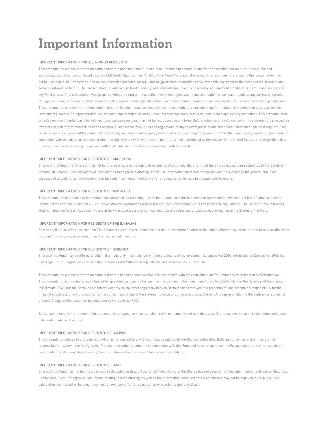## **Important Information**

#### **IMPORTANT INFORMATION FOR ALL NON-US RESIDENTS**

This presentation and the information contained herein does not constitute and is not intended to constitute an offer of securities nor an offer to the public and accordingly should not be construed as such. KKR Credit Opportunities Portfolio (the "Fund") and any other products or services referenced in this presentation may not be licensed in all jurisdictions, and unless otherwise indicated, no regulator or government authority has reviewed this document or the merits of the products and services referenced herein. This presentation provides a high level summary and is for informational purposes only, and does not constitute or form financial advice to buy Fund shares. This presentation was prepared without regard to the specific investment objectives, financial situation or particular needs of any particular person. No legally binding terms are created herein or shall be created until applicable definitive documentation is executed and delivered in accordance with any applicable law. This presentation and the information contained herein has been made available in accordance with the restrictions and/or limitations implemented by any applicable laws and regulations. This presentation is directed at and intended for institutional investors (as such term is defined in each applicable jurisdiction). This presentation is provided on a confidential basis for informational purposes only and may not be reproduced in any form. Before acting on any information in this presentation, prospective investors should inform themselves of and observe all applicable laws, rules and regulations of any relevant jurisdictions and obtain independent advice if required. This presentation is for the use of the named addressee only and should not be given, forwarded or shown to any other person (other than employees, agents or consultants in connection with the addressee's consideration thereof). Any entity forwarding this material, which is produced by the Adviser in the United States, to other parties takes full responsibility for ensuring compliance with applicable securities laws in connection with its distribution.

#### **IMPORTANT INFORMATION FOR RESIDENTS OF ARGENTINA**

Shares of the Fund (the "Shares") may not be offered or sold to the public in Argentina. Accordingly, the offering of the Shares has not been submitted to the Comisión Nacional de Valores (CNV) for approval. Documents relating to this offering (as well as information contained herein) may not be supplied to the general public for purposes of a public offering in Argentina or be used in connection with any offer or subscription for sale to the public in Argentina.

#### **IMPORTANT INFORMATION FOR RESIDENTS OF AUSTRALIA**

This presentation is provided to institutional investors and, by receiving it, each institutional investor is deemed to represent and warrant that it is a "wholesale client" (as that term is defined in section 761G of the Australian Corporations Act 2001 (Cth) (the "Corporations Act") and applicable regulations). The issuer of this [Marketing Material] does not hold an Australian Financial Services License and is not licensed to provide financial product advice in relation to the Shares of the Fund.

#### **IMPORTANT INFORMATION FOR RESIDENTS OF THE BAHAMAS**

Shares shall not be offered or sold into The Bahamas except in circumstances that do not constitute an offer to the public. Shares may not be offered or sold or otherwise disposed of in any way to persons other than accredited investors.

#### **IMPORTANT INFORMATION FOR RESIDENTS OF BERMUDA**

Shares of the Fund may be offered or sold in Bermuda only in compliance with the provisions of the Investment Business Act 2003, the Exchange Control Act 1972, the Exchange Control Regulations 1973 and the Companies Act 1981 which regulate the sale of securities in Bermuda.

This presentation and the information contained herein has been made available in accordance with the restrictions and/or limitations implemented by Bermuda law. This presentation is directed at and intended for qualified participants (as such term is defined in the Investment Funds Act 2006). Neither the Registrar of Companies in Bermuda (ROC) nor the Bermuda Monetary Authority or any other regulatory body in Bermuda has reviewed this presentation and accepts no responsibility for the financial soundness of any proposal or for the correctness of any of the statements made or opinions expressed herein. Any representation to the contrary is a criminal offence. A copy of this document has not been delivered to the ROC.

Before acting on any information in this presentation, prospective investors should inform themselves of and observe all Bermuda laws, rules and regulations and obtain independent advice if required.

#### **IMPORTANT INFORMATION FOR RESIDENTS OF BOLIVIA**

This presentation relates to a foreign fund which is not subject to any form of local regulation by the Bolivian authorities. Bolivian authorities and entities are not responsible for reviewing or verifying the Prospectus or other documents in connection with this Fund and have not approved the Prospectus or any other associated documents nor taken any steps to verify the information set out herein and has no responsibility for it.

#### **IMPORTANT INFORMATION FOR RESIDENTS OF BRAZIL**

Shares of the Fund may not be offered or sold to the public in Brazil. Accordingly, the offering of the Shares has not been nor will be submitted to the Brazilian Securities Commission (CVM) for approval. Documents relating to such offering, as well as the information contained herein and therein may not be supplied to the public, as a public offering in Brazil or be used in connection with any offer for subscription or sale to the public in Brazil.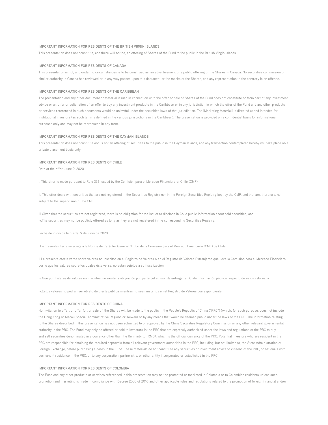#### **IMPORTANT INFORMATION FOR RESIDENTS OF THE BRITISH VIRGIN ISLANDS**

This presentation does not constitute, and there will not be, an offering of Shares of the Fund to the public in the British Virgin Islands.

#### **IMPORTANT INFORMATION FOR RESIDENTS OF CANADA**

This presentation is not, and under no circumstances is to be construed as, an advertisement or a public offering of the Shares in Canada. No securities commission or similar authority in Canada has reviewed or in any way passed upon this document or the merits of the Shares, and any representation to the contrary is an offence.

#### **IMPORTANT INFORMATION FOR RESIDENTS OF THE CARIBBEAN**

The presentation and any other document or material issued in connection with the offer or sale of Shares of the Fund does not constitute or form part of any investment advice or an offer or solicitation of an offer to buy any investment products in the Caribbean or in any jurisdiction in which the offer of the Fund and any other products or services referenced in such documents would be unlawful under the securities laws of that jurisdiction. The [Marketing Material] is directed at and intended for institutional investors (as such term is defined in the various jurisdictions in the Caribbean). The presentation is provided on a confidential basis for informational purposes only and may not be reproduced in any form.

#### **IMPORTANT INFORMATION FOR RESIDENTS OF THE CAYMAN ISLANDS**

This presentation does not constitute and is not an offering of securities to the public in the Cayman Islands, and any transaction contemplated hereby will take place on a private placement basis only.

#### **IMPORTANT INFORMATION FOR RESIDENTS OF CHILE**

Date of the offer: June 9, 2020

i. This offer is made pursuant to Rule 336 issued by the Comisión para el Mercado Financiero of Chile (CMF);

ii. This offer deals with securities that are not registered in the Securities Registry nor in the Foreign Securities Registry kept by the CMF, and that are, therefore, not subject to the supervision of the CMF;

iii.Given that the securities are not registered, there is no obligation for the issuer to disclose in Chile public information about said securities; and iv.The securities may not be publicly offered as long as they are not registered in the corresponding Securities Registry.

Fecha de inicio de la oferta: 9 de junio de 2020

i.La presente oferta se acoge a la Norma de Carácter General N° 336 de la Comisión para el Mercado Financiero (CMF) de Chile.

ii.La presente oferta versa sobre valores no inscritos en el Registro de Valores o en el Registro de Valores Extranjeros que lleva la Comisión para el Mercado Financiero, por lo que los valores sobre los cuales ésta versa, no están sujetos a su fiscalización;

iii.Que por tratarse de valores no inscritos, no existe la obligación por parte del emisor de entregar en Chile información pública respecto de estos valores; y

iv.Estos valores no podrán ser objeto de oferta pública mientras no sean inscritos en el Registro de Valores correspondiente.

#### **IMPORTANT INFORMATION FOR RESIDENTS OF CHINA**

No invitation to offer, or offer for, or sale of, the Shares will be made to the public in the People's Republic of China ("PRC") (which, for such purpose, does not include the Hong Kong or Macau Special Administrative Regions or Taiwan) or by any means that would be deemed public under the laws of the PRC. The information relating to the Shares described in this presentation has not been submitted to or approved by the China Securities Regulatory Commission or any other relevant governmental authority in the PRC. The Fund may only be offered or sold to investors in the PRC that are expressly authorized under the laws and regulations of the PRC to buy and sell securities denominated in a currency other than the Renminbi (or RMB), which is the official currency of the PRC. Potential investors who are resident in the PRC are responsible for obtaining the required approvals from all relevant government authorities in the PRC, including, but not limited to, the State Administration of Foreign Exchange, before purchasing Shares in the Fund. These materials do not constitute any securities or investment advice to citizens of the PRC, or nationals with permanent residence in the PRC, or to any corporation, partnership, or other entity incorporated or established in the PRC.

#### **IMPORTANT INFORMATION FOR RESIDENTS OF COLOMBIA**

The Fund and any other products or services referenced in this presentation may not be promoted or marketed in Colombia or to Colombian residents unless such promotion and marketing is made in compliance with Decree 2555 of 2010 and other applicable rules and regulations related to the promotion of foreign financial and/or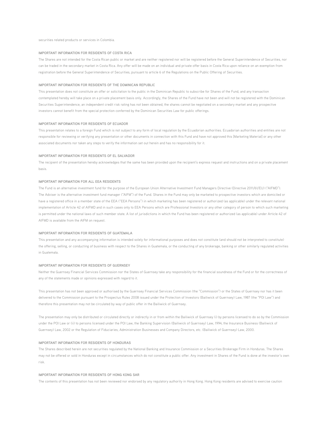securities related products or services in Colombia.

#### **IMPORTANT INFORMATION FOR RESIDENTS OF COSTA RICA**

The Shares are not intended for the Costa Rican public or market and are neither registered nor will be registered before the General Superintendence of Securities, nor can be traded in the secondary market in Costa Rica. Any offer will be made on an individual and private offer basis in Costa Rica upon reliance on an exemption from registration before the General Superintendence of Securities, pursuant to article 6 of the Regulations on the Public Offering of Securities.

#### **IMPORTANT INFORMATION FOR RESIDENTS OF THE DOMINICAN REPUBLIC**

This presentation does not constitute an offer or solicitation to the public in the Dominican Republic to subscribe for Shares of the Fund, and any transaction contemplated hereby will take place on a private placement basis only. Accordingly, the Shares of the Fund have not been and will not be registered with the Dominican Securities Superintendence, an independent credit risk rating has not been obtained, the shares cannot be negotiated on a secondary market and any prospective investors cannot benefit from the special protection conferred by the Dominican Securities Law for public offerings.

#### **IMPORTANT INFORMATION FOR RESIDENTS OF ECUADOR**

This presentation relates to a foreign Fund which is not subject to any form of local regulation by the Ecuadorian authorities. Ecuadorian authorities and entities are not responsible for reviewing or verifying any presentation or other documents in connection with this Fund and have not approved this [Marketing Material] or any other associated documents nor taken any steps to verify the information set out herein and has no responsibility for it.

#### **IMPORTANT INFORMATION FOR RESIDENTS OF EL SALVADOR**

The recipient of the presentation hereby acknowledges that the same has been provided upon the recipient's express request and instructions and on a private placement basis.

#### **IMPORTANT INFORMATION FOR ALL EEA RESIDENTS**

The Fund is an alternative investment fund for the purpose of the European Union Alternative Investment Fund Managers Directive (Directive 2011/61/EU) ("AIFMD"). The Adviser is the alternative investment fund manager ("AIFM") of the Fund. Shares in the Fund may only be marketed to prospective investors which are domiciled or have a registered office in a member state of the EEA ("EEA Persons") in which marketing has been registered or authorized (as applicable) under the relevant national implementation of Article 42 of AIFMD and in such cases only to EEA Persons which are Professional Investors or any other category of person to which such marketing is permitted under the national laws of such member state. A list of jurisdictions in which the Fund has been registered or authorized (as applicable) under Article 42 of AIFMD is available from the AIFM on request.

#### **IMPORTANT INFORMATION FOR RESIDENTS OF GUATEMALA**

This presentation and any accompanying information is intended solely for informational purposes and does not constitute (and should not be interpreted to constitute) the offering, selling, or conducting of business with respect to the Shares in Guatemala, or the conducting of any brokerage, banking or other similarly regulated activities in Guatemala.

#### **IMPORTANT INFORMATION FOR RESIDENTS OF GUERNSEY**

Neither the Guernsey Financial Services Commission nor the States of Guernsey take any responsibility for the financial soundness of the Fund or for the correctness of any of the statements made or opinions expressed with regard to it.

This presentation has not been approved or authorised by the Guernsey Financial Services Commission (the "Commission") or the States of Guernsey nor has it been delivered to the Commission pursuant to the Prospectus Rules 2008 issued under the Protection of Investors (Bailiwick of Guernsey) Law, 1987 (the "POI Law") and therefore this presentation may not be circulated by way of public offer in the Bailiwick of Guernsey.

The presentation may only be distributed or circulated directly or indirectly in or from within the Bailiwick of Guernsey (i) by persons licensed to do so by the Commission under the POI Law or (ii) to persons licensed under the POI Law, the Banking Supervision (Bailiwick of Guernsey) Law, 1994, the Insurance Business (Bailiwick of Guernsey) Law, 2002 or the Regulation of Fiduciaries, Administration Businesses and Company Directors, etc. (Bailiwick of Guernsey) Law, 2000.

#### **IMPORTANT INFORMATION FOR RESIDENTS OF HONDURAS**

The Shares described herein are not securities regulated by the National Banking and Insurance Commission or a Securities Brokerage Firm in Honduras. The Shares may not be offered or sold in Honduras except in circumstances which do not constitute a public offer. Any investment in Shares of the Fund is done at the investor's own risk.

#### **IMPORTANT INFORMATION FOR RESIDENTS OF HONG KONG SAR**

The contents of this presentation has not been reviewed nor endorsed by any regulatory authority in Hong Kong. Hong Kong residents are advised to exercise caution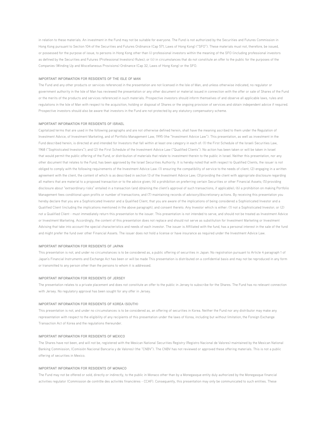in relation to these materials. An investment in the Fund may not be suitable for everyone. The Fund is not authorized by the Securities and Futures Commission in Hong Kong pursuant to Section 104 of the Securities and Futures Ordinance (Cap 571, Laws of Hong Kong) ("SFO"). These materials must not, therefore, be issued, or possessed for the purpose of issue, to persons in Hong Kong other than (i) professional investors within the meaning of the SFO (including professional investors as defined by the Securities and Futures (Professional Investors) Rules); or (ii) in circumstances that do not constitute an offer to the public for the purposes of the Companies (Winding Up and Miscellaneous Provisions) Ordinance (Cap 32, Laws of Hong Kong) or the SFO.

#### **IMPORTANT INFORMATION FOR RESIDENTS OF THE ISLE OF MAN**

The Fund and any other products or services referenced in the presentation are not licensed in the Isle of Man, and unless otherwise indicated, no regulator or government authority in the Isle of Man has reviewed the presentation or any other document or material issued in connection with the offer or sale of Shares of the Fund or the merits of the products and services referenced in such materials. Prospective investors should inform themselves of and observe all applicable laws, rules and regulations in the Isle of Man with respect to the acquisition, holding or disposal of Shares or the ongoing provision of services and obtain independent advice if required. Prospective investors should also be aware that investors in the Fund are not protected by any statutory compensatory scheme.

#### **IMPORTANT INFORMATION FOR RESIDENTS OF ISRAEL**

Capitalized terms that are used in the following paragraphs and are not otherwise defined herein, shall have the meaning ascribed to them under the Regulation of Investment Advice, of Investment Marketing, and of Portfolio Management Law, 1995 (the "Investment Advice Law"). This presentation, as well as investment in the Fund described herein, is directed at and intended for Investors that fall within at least one category in each of: (1) the First Schedule of the Israeli Securities Law, 1968 ("Sophisticated Investors"); and (2) the First Schedule of the Investment Advice Law ("Qualified Clients"). No action has been taken or will be taken in Israel that would permit the public offering of the Fund, or distribution of materials that relate to investment therein to the public in Israel. Neither this presentation, nor any other document that relates to the Fund, has been approved by the Israel Securities Authority. It is hereby noted that with respect to Qualified Clients, the issuer is not obliged to comply with the following requirements of the Investment Advice Law: (1) ensuring the compatibility of service to the needs of client; (2) engaging in a written agreement with the client, the content of which is as described in section 13 of the Investment Advice Law; (3) providing the client with appropriate disclosure regarding all matters that are material to a proposed transaction or to the advice given; (4) a prohibition on preferring certain Securities or other Financial Assets; (5) providing disclosure about "extraordinary risks" entailed in a transaction (and obtaining the client's approval of such transactions, if applicable); (6) a prohibition on making Portfolio Management fees conditional upon profits or number of transactions; and (7) maintaining records of advisory/discretionary actions. By receiving this presentation you hereby declare that you are a Sophisticated Investor and a Qualified Client, that you are aware of the implications of being considered a Sophisticated Investor and a Qualified Client (including the implications mentioned in the above paragraph), and consent thereto. Any Investor which is either: (1) not a Sophisticated Investor; or (2) not a Qualified Client - must immediately return this presentation to the issuer. This presentation is not intended to serve, and should not be treated as Investment Advice or Investment Marketing. Accordingly, the content of this presentation does not replace and should not serve as substitution for Investment Marketing or Investment Advising that take into account the special characteristics and needs of each investor. The issuer is Affiliated with the fund, has a personal interest in the sale of the fund and might prefer the fund over other Financial Assets. The issuer does not hold a license or have insurance as required under the Investment Advice Law.

#### **IMPORTANT INFORMATION FOR RESIDENTS OF JAPAN**

This presentation is not, and under no circumstances is to be considered as, a public offering of securities in Japan. No registration pursuant to Article 4 paragraph 1 of Japan's Financial Instruments and Exchange Act has been or will be made This presentation is distributed on a confidential basis and may not be reproduced in any form or transmitted to any person other than the persons to whom it is addressed.

#### **IMPORTANT INFORMATION FOR RESIDENTS OF JERSEY**

The presentation relates to a private placement and does not constitute an offer to the public in Jersey to subscribe for the Shares. The Fund has no relevant connection with Jersey. No regulatory approval has been sought for any offer in Jersey.

#### **IMPORTANT INFORMATION FOR RESIDENTS OF KOREA (SOUTH)**

This presentation is not, and under no circumstances is to be considered as, an offering of securities in Korea. Neither the Fund nor any distributor may make any representation with respect to the eligibility of any recipients of this presentation under the laws of Korea, including but without limitation, the Foreign Exchange Transaction Act of Korea and the regulations thereunder.

#### **IMPORTANT INFORMATION FOR RESIDENTS OF MEXICO**

The Shares have not been, and will not be, registered with the Mexican National Securities Registry (Registro Nacional de Valores) maintained by the Mexican National Banking Commission, (Comisión Nacional Bancaria y de Valores) (the "CNBV"). The CNBV has not reviewed or approved these offering materials. This is not a public offering of securities in Mexico.

#### **IMPORTANT INFORMATION FOR RESIDENTS OF MONACO**

The Fund may not be offered or sold, directly or indirectly, to the public in Monaco other than by a Monegasque entity duly authorized by the Monegasque financial activities regulator (Commission de contrôle des activités financières - CCAF). Consequently, this presentation may only be communicated to such entities. These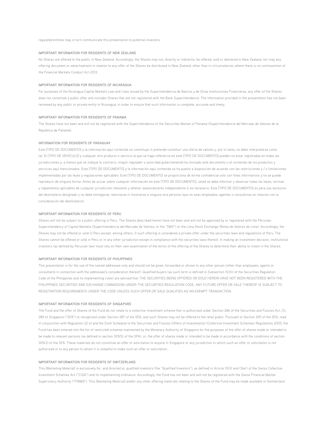regulated entities may in turn communicate this presentation to potential investors.

#### **IMPORTANT INFORMATION FOR RESIDENTS OF NEW ZEALAND**

No Shares are offered to the public in New Zealand. Accordingly, the Shares may not, directly or indirectly, be offered, sold or delivered in New Zealand, nor may any offering document or advertisement in relation to any offer of the Shares be distributed in New Zealand, other than in circumstances where there is no contravention of the Financial Markets Conduct Act 2013.

#### **IMPORTANT INFORMATION FOR RESIDENTS OF NICARAGUA**

For purposes of the Nicaragua Capital Markets Law and rules issued by the Superintendencia de Bancos y de Otras Instituciones Financieras, any offer of the Shares does not constitute a public offer and includes Shares that are not registered with the Bank Superintendence. The information provided in the presentation has not been reviewed by any public or private entity in Nicaragua, in order to ensure that such information is complete, accurate and timely.

#### **IMPORTANT INFORMATION FOR RESIDENTS OF PANAMA**

The Shares have not been and will not be registered with the Superintendence of the Securities Market of Panama (Superintendencia del Mercado de Valores de la República de Panamá).

#### **INFORMATION FOR RESIDENTS OF PARAGUAY**

Este [TIPO DE DOCUMENTO] y la información aquí contenida no constituye ni pretende constituir una oferta de valores y, por lo tanto, no debe interpretarse como tal. El [TIPO DE VEHÍCULO] y cualquier otro producto o servicio al que se haga referencia en este [TIPO DE DOCUMENTO] pueden no estar registradas en todas las jurisdicciones y, a menos que se indique lo contrario, ningún regulador o autoridad gubernamental ha revisado este documento o el contenido de los productos y servicios aquí mencionados. Este [TIPO DE DOCUMENTO] y la información aquí contenida se ha puesto a disposición de acuerdo con las restricciones y / o limitaciones implementadas por las leyes y regulaciones aplicables. Este [TIPO DE DOCUMENTO] se proporciona de forma confidencial solo con fines informativos y no se puede reproducir de ninguna forma. Antes de actuar sobre cualquier información en este [TIPO DE DOCUMENTO], usted se debe informar y observar todas las leyes, normas y reglamentos aplicables de cualquier jurisdicción relevante y obtener asesoramiento independiente si es necesario. Este [TIPO DE DOCUMENTO] es para uso exclusivo del destinatario designado y no debe entregarse, reenviarse ni mostrarse a ninguna otra persona (que no sean empleados, agentes o consultores en relación con la consideración del destinatario).

#### **IMPORTANT INFORMATION FOR RESIDENTS OF PERU**

Shares will not be subject to a public offering in Peru. The Shares described herein have not been and will not be approved by or registered with the Peruvian Superintendency of Capital Markets (Superintendencia del Mercado de Valores, or the "SMV") or the Lima Stock Exchange (Bolsa de Valores de Lima). Accordingly, the Shares may not be offered or sold in Peru except, among others, if such offering is considered a private offer under the securities laws and regulations of Peru. The Shares cannot be offered or sold in Peru or in any other jurisdiction except in compliance with the securities laws thereof. In making an investment decision, institutional investors (as defined by Peruvian law) must rely on their own examination of the terms of the offering of the Shares to determine their ability to invest in the Shares.

#### **IMPORTANT INFORMATION FOR RESIDENTS OF PHILIPPINES**

This presentation is for the use of the named addressee only and should not be given, forwarded or shown to any other person (other than employees, agents or consultants in connection with the addressee's consideration thereof). Qualified buyers (as such term is defined in Subsection 10.1(l) of the Securities Regulation Code of the Philippines and its implementing rules) are advised that: THE SECURITIES BEING OFFERED OR SOLD HEREIN HAVE NOT BEEN REGISTERED WITH THE PHILIPPINES SECURITIES AND EXCHANGE COMMISSION UNDER THE SECURITIES REGULATION CODE. ANY FUTURE OFFER OR SALE THEREOF IS SUBJECT TO REGISTRATION REQUIREMENTS UNDER THE CODE UNLESS SUCH OFFER OR SALE QUALIFIES AS AN EXEMPT TRANSACTION.

#### **IMPORTANT INFORMATION FOR RESIDENTS OF SINGAPORE**

The Fund and the offer of Shares of the Fund do not relate to a collective investment scheme that is authorized under Section 286 of the Securities and Futures Act, Ch. 289 of Singapore ("SFA") or recognized under Section 287 of the SFA, and such Shares may not be offered to the retail public. Pursuant to Section 305 of the SFA, read in conjunction with Regulation 32 of and the Sixth Schedule to the Securities and Futures (Offers of Investments) (Collective Investment Schemes) Regulations 2005, the Fund has been entered into the list of restricted schemes maintained by the Monetary Authority of Singapore for the purposes of the offer of shares made or intended to be made to relevant persons (as defined in section 305(5) of the SFA), or, the offer of shares made or intended to be made in accordance with the conditions of section 305(2) of the SFA. These materials do not constitute an offer or solicitation to anyone in Singapore or any jurisdiction in which such an offer or solicitation is not authorized or to any person to whom it is unlawful to make such an offer or solicitation.

#### **IMPORTANT INFORMATION FOR RESIDENTS OF SWITZERLAND**

This [Marketing Material] is exclusively for, and directed at, qualified investors (the "Qualified Investors"), as defined in Article 10(3) and (3ter) of the Swiss Collective Investment Schemes Act ("CISA") and its implementing ordinance. Accordingly, the Fund has not been and will not be registered with the Swiss Financial Market Supervisory Authority ("FINMA"). This [Marketing Material] and/or any other offering materials relating to the Shares of the Fund may be made available in Switzerland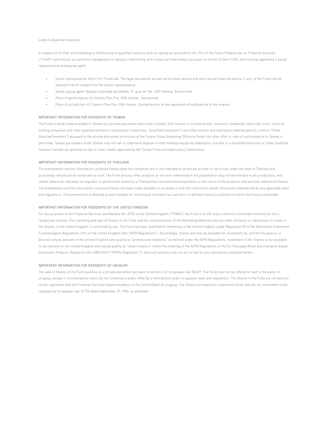#### solely to Qualified Investors.

In respect of its offer and marketing in Switzerland to qualified investors with an opting-out pursuant to Art. 5(1) of the Swiss Federal Law on Financial Services ("FinSA") and without any portfolio management or advisory relationship with a financial intermediary pursuant to Article 10(3ter) CISA, the Fund has appointed a Swiss representative and paying agent:

- Swiss representative: Mont-Fort Funds AG. The legal documents as well as the latest annual and semi-annual financial reports, if any, of the Fund may be obtained free of charge from the Swiss representative.
- Swiss paying agent: Banque Cantonale de Genève, 17, quai de l'Ile, 1204 Geneva, Switzerland
- Place of performance: 63 Chemin Plan-Pra, 1936 Verbier, Switzerland
- Place of jurisdiction: 63 Chemin Plan-Pra, 1936 Verbier, Switzerland or at the registered office/domicile of the investor.

#### **IMPORTANT INFORMATION FOR RESIDENTS OF TAIWAN**

The Fund is being made available in Taiwan on a private placement basis only to banks, bills houses, trust enterprises, insurance companies, securities firms, financial holding companies and other qualified entities or institutions (collectively, "Qualified Institutions") and other entities and individuals meeting specific criteria ("Other Qualified Investors") pursuant to the private placement provisions of the Taiwan Rules Governing Offshore Funds. No other offer or sale of such products in Taiwan is permitted. Taiwan purchasers of the Shares may not sell or otherwise dispose of their holdings except by redemption, transfer to a Qualified Institution or Other Qualified Investor, transfer by operation of law or other means approved by the Taiwan Financial Supervisory Commission.

#### **IMPORTANT INFORMATION FOR RESIDENTS OF THAILAND**

The presentation and the information contained therein does not constitute and is not intended to constitute an offer of securities under the laws of Thailand and accordingly should not be construed as such. The Fund and any other products or services referenced in the presentation may not be licensed in all jurisdictions, and unless otherwise indicated, no regulator or government authority in Thailand has reviewed the presentation or the merits of the products and services referenced therein. The presentation and the information contained therein has been made available in accordance with the restrictions and/or limitations implemented by any applicable laws and regulations. The presentation is directed at and intended for institutional investors (as such term is defined in each jurisdiction in which the Fund is marketed).

#### **IMPORTANT INFORMATION FOR RESIDENTS OF THE UNITED KINGDOM**

For the purposes of the Financial Services and Markets Act 2000 of the United Kingdom ("FSMA"), the Fund is an AIF and a collective investment scheme but not a recognised scheme. The marketing and sale of Shares in the Fund, and the communication of the [Marketing Material] and any other invitation or inducement to invest in the Shares, in the United Kingdom is restricted by law. The Fund has been qualified for marketing in the United Kingdom under Regulation 59 of the Alternative Investment Fund Managers Regulations 2013 of the United Kingdom (the "AIFM Regulations"). Accordingly, Shares will only be available for investment by, and the Prospectus is directed only at, persons in the United Kingdom who qualify as "professional investors," as defined under the AIFM Regulations. Investment in the Shares is not available to any persons in the United Kingdom who would qualify as "retail investors" within the meaning of the AIFM Regulations or the EU Packaged Retail and Insurance-based Investment Products Regulation (No 1286/2014) ("PRIIPs Regulation")), and such persons may not act or rely on any information contained herein.

#### **IMPORTANT INFORMATION FOR RESIDENTS OF URUGUAY**

The sale of Shares of the Fund qualifies as a private placement pursuant to section 2 of Uruguayan law 18,627. The Fund must not be offered or sold to the public in Uruguay, except in circumstances which do not constitute a public offering or distribution under Uruguayan laws and regulations. The Shares in the Fund are not and will not be registered with the Financial Services Superintendency of the Central Bank of Uruguay. The Shares correspond to investment funds that are not investment funds regulated by Uruguayan law 16,774 dated September 27, 1996, as amended.